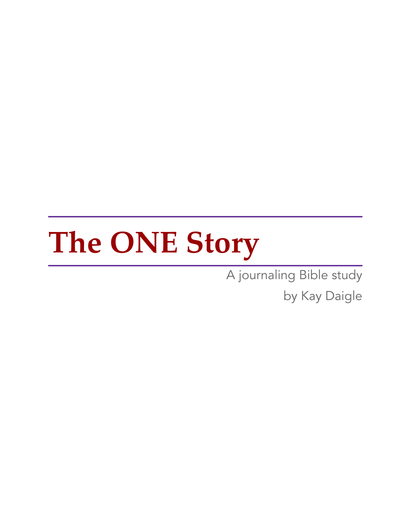# **The ONE Story**

A journaling Bible study

by Kay Daigle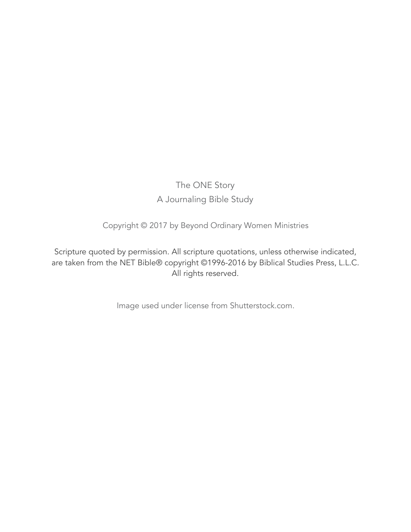#### The ONE Story A Journaling Bible Study

Copyright © 2017 by Beyond Ordinary Women Ministries

Scripture quoted by permission. All scripture quotations, unless otherwise indicated, are taken from the NET Bible® copyright ©1996-2016 by Biblical Studies Press, L.L.C. All rights reserved.

Image used under license from Shutterstock.com.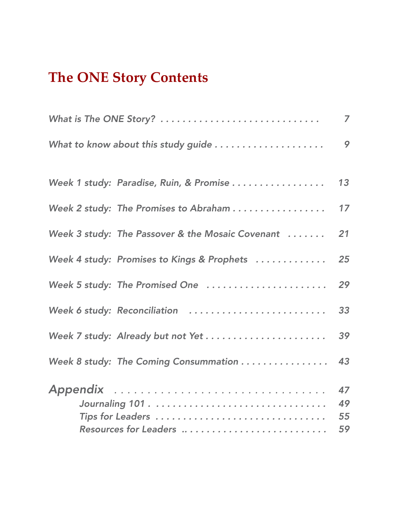# **The ONE Story Contents**

| What is The ONE Story?                                | $\overline{ }$       |
|-------------------------------------------------------|----------------------|
| What to know about this study guide                   | 9                    |
| Week 1 study: Paradise, Ruin, & Promise               | 13                   |
| Week 2 study: The Promises to Abraham                 | 17                   |
| Week 3 study: The Passover & the Mosaic Covenant      | 21                   |
| Week 4 study: Promises to Kings & Prophets            | 25                   |
| Week 5 study: The Promised One                        | 29                   |
| Week 6 study: Reconciliation                          | 33                   |
|                                                       | 39                   |
| Week 8 study: The Coming Consummation                 | 43                   |
| Appendix<br>Tips for Leaders<br>Resources for Leaders | 47<br>49<br>55<br>59 |
|                                                       |                      |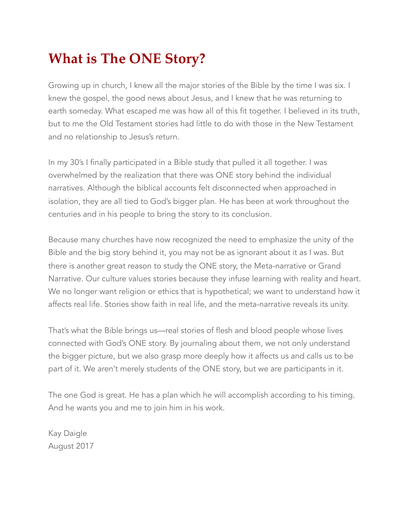# **What is The ONE Story?**

Growing up in church, I knew all the major stories of the Bible by the time I was six. I knew the gospel, the good news about Jesus, and I knew that he was returning to earth someday. What escaped me was how all of this fit together. I believed in its truth, but to me the Old Testament stories had little to do with those in the New Testament and no relationship to Jesus's return.

In my 30's I finally participated in a Bible study that pulled it all together. I was overwhelmed by the realization that there was ONE story behind the individual narratives. Although the biblical accounts felt disconnected when approached in isolation, they are all tied to God's bigger plan. He has been at work throughout the centuries and in his people to bring the story to its conclusion.

Because many churches have now recognized the need to emphasize the unity of the Bible and the big story behind it, you may not be as ignorant about it as I was. But there is another great reason to study the ONE story, the Meta-narrative or Grand Narrative. Our culture values stories because they infuse learning with reality and heart. We no longer want religion or ethics that is hypothetical; we want to understand how it affects real life. Stories show faith in real life, and the meta-narrative reveals its unity.

That's what the Bible brings us—real stories of flesh and blood people whose lives connected with God's ONE story. By journaling about them, we not only understand the bigger picture, but we also grasp more deeply how it affects us and calls us to be part of it. We aren't merely students of the ONE story, but we are participants in it.

The one God is great. He has a plan which he will accomplish according to his timing. And he wants you and me to join him in his work.

Kay Daigle August 2017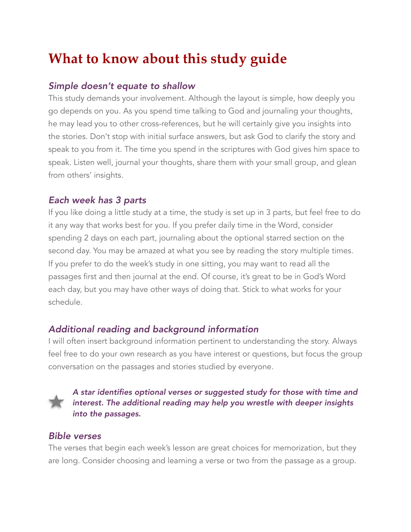## **What to know about this study guide**

#### *Simple doesn't equate to shallow*

This study demands your involvement. Although the layout is simple, how deeply you go depends on you. As you spend time talking to God and journaling your thoughts, he may lead you to other cross-references, but he will certainly give you insights into the stories. Don't stop with initial surface answers, but ask God to clarify the story and speak to you from it. The time you spend in the scriptures with God gives him space to speak. Listen well, journal your thoughts, share them with your small group, and glean from others' insights.

#### *Each week has 3 parts*

If you like doing a little study at a time, the study is set up in 3 parts, but feel free to do it any way that works best for you. If you prefer daily time in the Word, consider spending 2 days on each part, journaling about the optional starred section on the second day. You may be amazed at what you see by reading the story multiple times. If you prefer to do the week's study in one sitting, you may want to read all the passages first and then journal at the end. Of course, it's great to be in God's Word each day, but you may have other ways of doing that. Stick to what works for your schedule.

#### *Additional reading and background information*

I will often insert background information pertinent to understanding the story. Always feel free to do your own research as you have interest or questions, but focus the group conversation on the passages and stories studied by everyone.



*A star identifies optional verses or suggested study for those with time and interest. The additional reading may help you wrestle with deeper insights into the passages.*

#### *Bible verses*

The verses that begin each week's lesson are great choices for memorization, but they are long. Consider choosing and learning a verse or two from the passage as a group.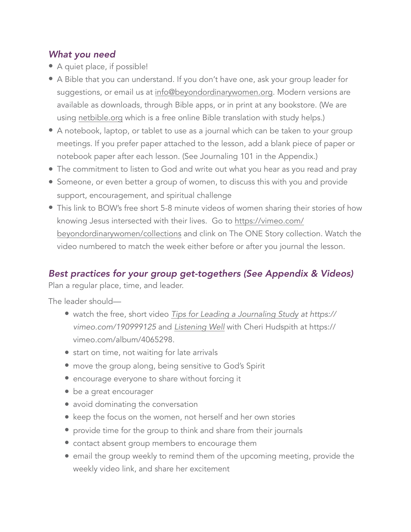#### *What you need*

- A quiet place, if possible!
- A Bible that you can understand. If you don't have one, ask your group leader for suggestions, or email us at [info@beyondordinarywomen.org](mailto:info@beyondordinarywomen.org). Modern versions are available as downloads, through Bible apps, or in print at any bookstore. (We are using [netbible.org](http://netbible.org) which is a free online Bible translation with study helps.)
- A notebook, laptop, or tablet to use as a journal which can be taken to your group meetings. If you prefer paper attached to the lesson, add a blank piece of paper or notebook paper after each lesson. (See Journaling 101 in the Appendix.)
- The commitment to listen to God and write out what you hear as you read and pray
- Someone, or even better a group of women, to discuss this with you and provide support, encouragement, and spiritual challenge
- This link to BOW's free short 5-8 minute videos of women sharing their stories of how knowing Jesus intersected with their lives. Go to [https://vimeo.com/](https://vimeo.com/beyondordinarywomen/collections) [beyondordinarywomen/collections](https://vimeo.com/beyondordinarywomen/collections) and clink on The ONE Story collection. Watch the video numbered to match the week either before or after you journal the lesson.

#### *Best practices for your group get-togethers (See Appendix & Videos)*

Plan a regular place, time, and leader.

The leader should—

- watch the free, short video *[Tips for Leading a Journaling Study](https://vimeo.com/190999125) at https:// vimeo.com/190999125* and *[Listening Well](https://vimeo.com/album/4065298)* with Cheri Hudspith at https:// vimeo.com/album/4065298.
- start on time, not waiting for late arrivals
- move the group along, being sensitive to God's Spirit
- encourage everyone to share without forcing it
- be a great encourager
- avoid dominating the conversation
- keep the focus on the women, not herself and her own stories
- provide time for the group to think and share from their journals
- contact absent group members to encourage them
- email the group weekly to remind them of the upcoming meeting, provide the weekly video link, and share her excitement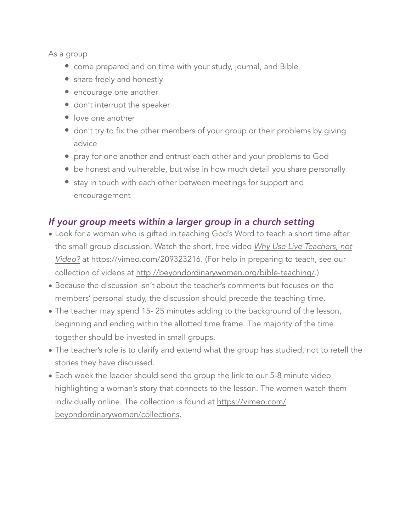As a group

- come prepared and on time with your study, journal, and Bible
- share freely and honestly
- encourage one another
- don't interrupt the speaker
- love one another
- don't try to fix the other members of your group or their problems by giving advice
- pray for one another and entrust each other and your problems to God
- be honest and vulnerable, but wise in how much detail you share personally
- stay in touch with each other between meetings for support and encouragement

#### *If your group meets within a larger group in a church setting*

- Look for a woman who is gifted in teaching God's Word to teach a short time after the small group discussion. Watch the short, free video *[Why Use Live Teachers, not](https://vimeo.com/209323216)  [Video?](https://vimeo.com/209323216)* at https://vimeo.com/209323216. (For help in preparing to teach, see our collection of videos at [http://beyondordinarywomen.org/bible-teaching/.](http://beyondordinarywomen.org/bible-teaching/))
- Because the discussion isn't about the teacher's comments but focuses on the members' personal study, the discussion should precede the teaching time.
- The teacher may spend 15- 25 minutes adding to the background of the lesson, beginning and ending within the allotted time frame. The majority of the time together should be invested in small groups.
- The teacher's role is to clarify and extend what the group has studied, not to retell the stories they have discussed.
- Each week the leader should send the group the link to our 5-8 minute video highlighting a woman's story that connects to the lesson. The women watch them individually online. The collection is found at [https://vimeo.com/](https://vimeo.com/beyondordinarywomen/collections) [beyondordinarywomen/collections](https://vimeo.com/beyondordinarywomen/collections).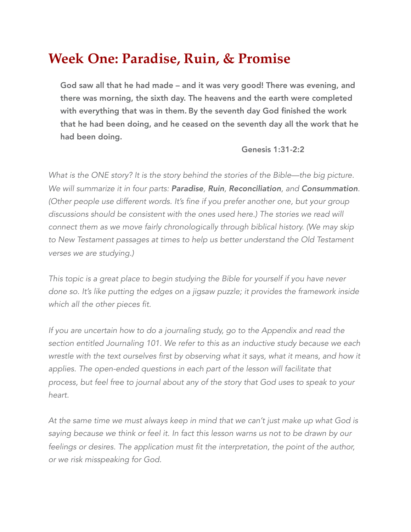### **Week One: Paradise, Ruin, & Promise**

God saw all that he had made – and it was very good! There was evening, and there was morning, the sixth day. The heavens and the earth were completed with everything that was in them. By the seventh day God finished the work that he had been doing, and he ceased on the seventh day all the work that he had been doing.

Genesis 1:31-2:2

*What is the ONE story? It is the story behind the stories of the Bible—the big picture. We will summarize it in four parts: Paradise, Ruin, Reconciliation, and Consummation. (Other people use different words. It's fine if you prefer another one, but your group discussions should be consistent with the ones used here.) The stories we read will connect them as we move fairly chronologically through biblical history. (We may skip*  to New Testament passages at times to help us better understand the Old Testament *verses we are studying.)* 

*This topic is a great place to begin studying the Bible for yourself if you have never done so. It's like putting the edges on a jigsaw puzzle; it provides the framework inside which all the other pieces fit.* 

*If you are uncertain how to do a journaling study, go to the Appendix and read the section entitled Journaling 101. We refer to this as an inductive study because we each wrestle with the text ourselves first by observing what it says, what it means, and how it*  applies. The open-ended questions in each part of the lesson will facilitate that *process, but feel free to journal about any of the story that God uses to speak to your heart.* 

*At the same time we must always keep in mind that we can't just make up what God is saying because we think or feel it. In fact this lesson warns us not to be drawn by our*  feelings or desires. The application must fit the interpretation, the point of the author, *or we risk misspeaking for God.*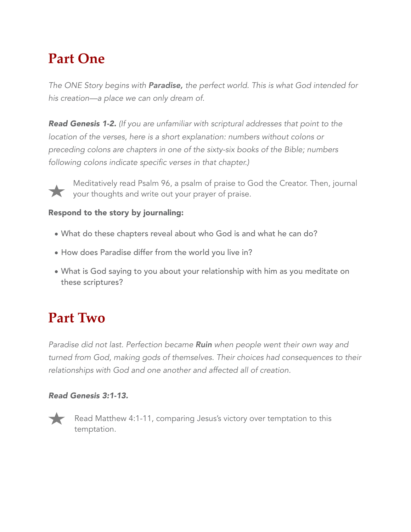# **Part One**

*The ONE Story begins with Paradise, the perfect world. This is what God intended for his creation—a place we can only dream of.* 

*Read Genesis 1-2. (If you are unfamiliar with scriptural addresses that point to the location of the verses, here is a short explanation: numbers without colons or preceding colons are chapters in one of the sixty-six books of the Bible; numbers following colons indicate specific verses in that chapter.)*



Meditatively read Psalm 96, a psalm of praise to God the Creator. Then, journal your thoughts and write out your prayer of praise.

#### Respond to the story by journaling:

- What do these chapters reveal about who God is and what he can do?
- How does Paradise differ from the world you live in?
- What is God saying to you about your relationship with him as you meditate on these scriptures?

### **Part Two**

*Paradise did not last. Perfection became Ruin when people went their own way and turned from God, making gods of themselves. Their choices had consequences to their relationships with God and one another and affected all of creation.* 

#### *Read Genesis 3:1-13.*



Read Matthew 4:1-11, comparing Jesus's victory over temptation to this temptation.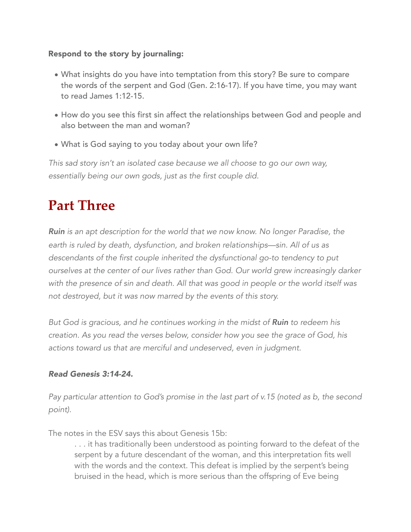#### Respond to the story by journaling:

- What insights do you have into temptation from this story? Be sure to compare the words of the serpent and God (Gen. 2:16-17). If you have time, you may want to read James 1:12-15.
- How do you see this first sin affect the relationships between God and people and also between the man and woman?
- What is God saying to you today about your own life?

*This sad story isn't an isolated case because we all choose to go our own way, essentially being our own gods, just as the first couple did.* 

### **Part Three**

*Ruin is an apt description for the world that we now know. No longer Paradise, the earth is ruled by death, dysfunction, and broken relationships—sin. All of us as descendants of the first couple inherited the dysfunctional go-to tendency to put ourselves at the center of our lives rather than God. Our world grew increasingly darker with the presence of sin and death. All that was good in people or the world itself was not destroyed, but it was now marred by the events of this story.* 

*But God is gracious, and he continues working in the midst of Ruin to redeem his creation. As you read the verses below, consider how you see the grace of God, his actions toward us that are merciful and undeserved, even in judgment.* 

#### *Read Genesis 3:14-24.*

*Pay particular attention to God's promise in the last part of v.15 (noted as b, the second point).*

The notes in the ESV says this about Genesis 15b:

. . . it has traditionally been understood as pointing forward to the defeat of the serpent by a future descendant of the woman, and this interpretation fits well with the words and the context. This defeat is implied by the serpent's being bruised in the head, which is more serious than the offspring of Eve being